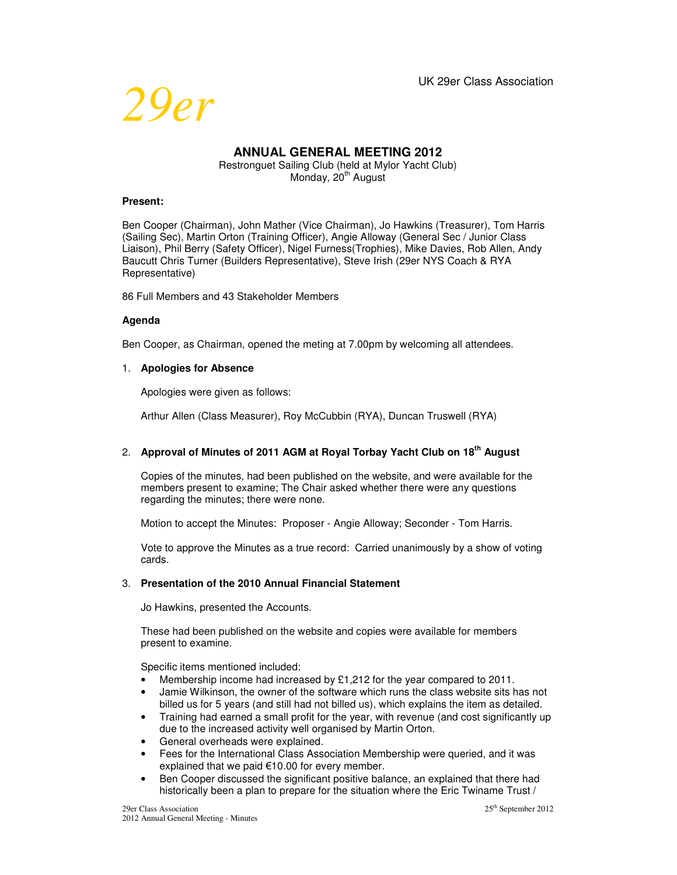

# **ANNUAL GENERAL MEETING 2012**

Restronguet Sailing Club (held at Mylor Yacht Club) Monday, 20<sup>th</sup> August

# **Present:**

Ben Cooper (Chairman), John Mather (Vice Chairman), Jo Hawkins (Treasurer), Tom Harris (Sailing Sec), Martin Orton (Training Officer), Angie Alloway (General Sec / Junior Class Liaison), Phil Berry (Safety Officer), Nigel Furness(Trophies), Mike Davies, Rob Allen, Andy Baucutt Chris Turner (Builders Representative), Steve Irish (29er NYS Coach & RYA Representative)

86 Full Members and 43 Stakeholder Members

# **Agenda**

Ben Cooper, as Chairman, opened the meting at 7.00pm by welcoming all attendees.

# 1. **Apologies for Absence**

Apologies were given as follows:

Arthur Allen (Class Measurer), Roy McCubbin (RYA), Duncan Truswell (RYA)

# 2. **Approval of Minutes of 2011 AGM at Royal Torbay Yacht Club on 18th August**

Copies of the minutes, had been published on the website, and were available for the members present to examine; The Chair asked whether there were any questions regarding the minutes; there were none.

Motion to accept the Minutes: Proposer - Angie Alloway; Seconder - Tom Harris.

Vote to approve the Minutes as a true record: Carried unanimously by a show of voting cards.

# 3. **Presentation of the 2010 Annual Financial Statement**

Jo Hawkins, presented the Accounts.

These had been published on the website and copies were available for members present to examine.

Specific items mentioned included:

- Membership income had increased by £1,212 for the year compared to 2011.
- Jamie Wilkinson, the owner of the software which runs the class website sits has not billed us for 5 years (and still had not billed us), which explains the item as detailed.
- Training had earned a small profit for the year, with revenue (and cost significantly up due to the increased activity well organised by Martin Orton.
- General overheads were explained.
- Fees for the International Class Association Membership were queried, and it was explained that we paid €10.00 for every member.
- Ben Cooper discussed the significant positive balance, an explained that there had historically been a plan to prepare for the situation where the Eric Twiname Trust /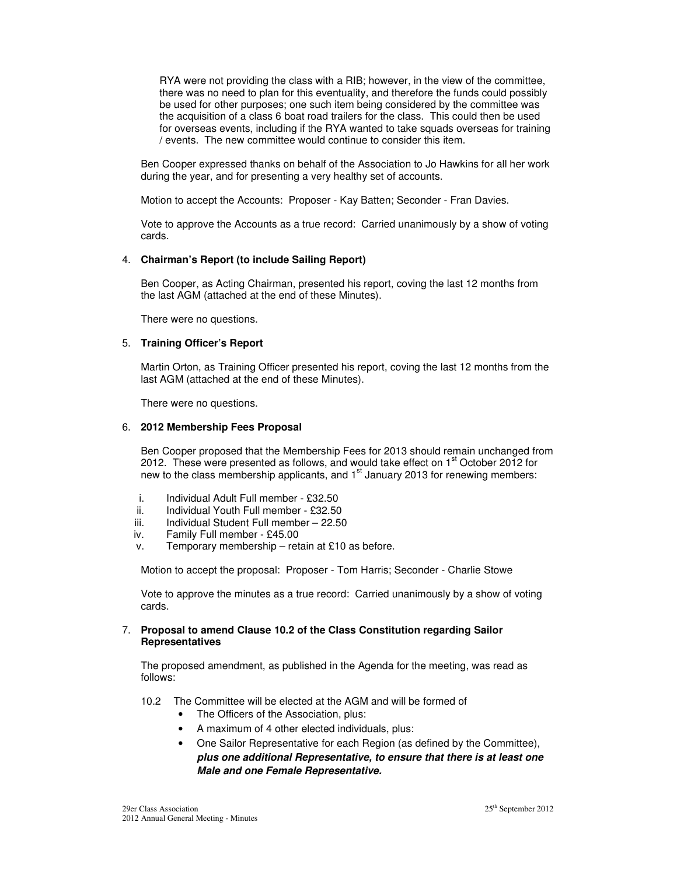RYA were not providing the class with a RIB; however, in the view of the committee, there was no need to plan for this eventuality, and therefore the funds could possibly be used for other purposes; one such item being considered by the committee was the acquisition of a class 6 boat road trailers for the class. This could then be used for overseas events, including if the RYA wanted to take squads overseas for training / events. The new committee would continue to consider this item.

Ben Cooper expressed thanks on behalf of the Association to Jo Hawkins for all her work during the year, and for presenting a very healthy set of accounts.

Motion to accept the Accounts: Proposer - Kay Batten; Seconder - Fran Davies.

Vote to approve the Accounts as a true record: Carried unanimously by a show of voting cards.

# 4. **Chairman's Report (to include Sailing Report)**

Ben Cooper, as Acting Chairman, presented his report, coving the last 12 months from the last AGM (attached at the end of these Minutes).

There were no questions.

# 5. **Training Officer's Report**

Martin Orton, as Training Officer presented his report, coving the last 12 months from the last AGM (attached at the end of these Minutes).

There were no questions.

# 6. **2012 Membership Fees Proposal**

Ben Cooper proposed that the Membership Fees for 2013 should remain unchanged from 2012. These were presented as follows, and would take effect on 1<sup>st</sup> October 2012 for new to the class membership applicants, and 1<sup>st</sup> January 2013 for renewing members:

- i. Individual Adult Full member £32.50
- ii. Individual Youth Full member £32.50
- iii. Individual Student Full member 22.50
- iv. Family Full member £45.00
- v. Temporary membership retain at £10 as before.

Motion to accept the proposal: Proposer - Tom Harris; Seconder - Charlie Stowe

Vote to approve the minutes as a true record: Carried unanimously by a show of voting cards.

# 7. **Proposal to amend Clause 10.2 of the Class Constitution regarding Sailor Representatives**

The proposed amendment, as published in the Agenda for the meeting, was read as follows:

- 10.2 The Committee will be elected at the AGM and will be formed of
	- The Officers of the Association, plus:
	- A maximum of 4 other elected individuals, plus:
	- One Sailor Representative for each Region (as defined by the Committee), *plus one additional Representative, to ensure that there is at least one Male and one Female Representative.*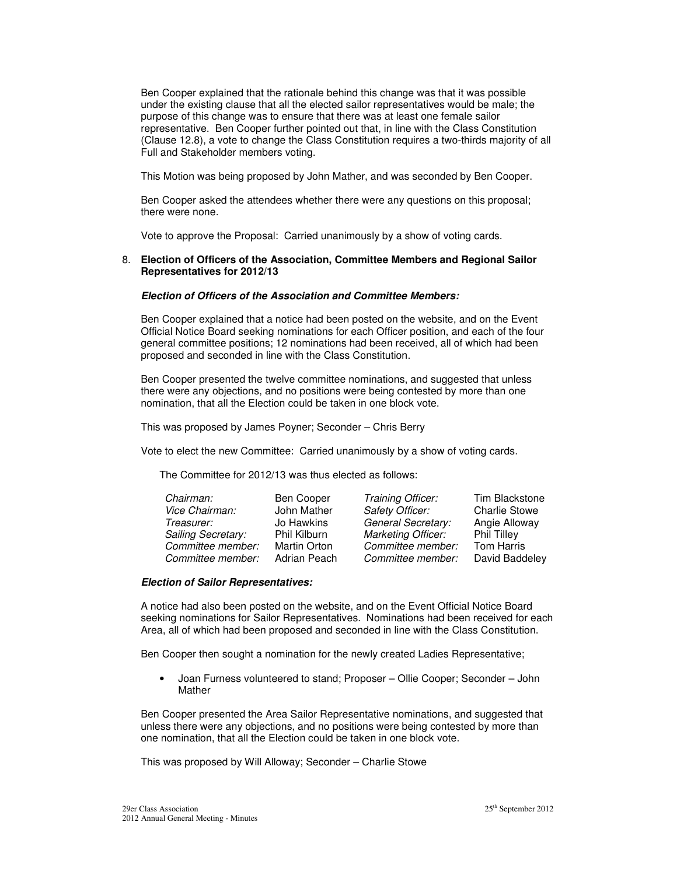Ben Cooper explained that the rationale behind this change was that it was possible under the existing clause that all the elected sailor representatives would be male; the purpose of this change was to ensure that there was at least one female sailor representative. Ben Cooper further pointed out that, in line with the Class Constitution (Clause 12.8), a vote to change the Class Constitution requires a two-thirds majority of all Full and Stakeholder members voting.

This Motion was being proposed by John Mather, and was seconded by Ben Cooper.

Ben Cooper asked the attendees whether there were any questions on this proposal; there were none.

Vote to approve the Proposal: Carried unanimously by a show of voting cards.

#### 8. **Election of Officers of the Association, Committee Members and Regional Sailor Representatives for 2012/13**

#### *Election of Officers of the Association and Committee Members:*

Ben Cooper explained that a notice had been posted on the website, and on the Event Official Notice Board seeking nominations for each Officer position, and each of the four general committee positions; 12 nominations had been received, all of which had been proposed and seconded in line with the Class Constitution.

Ben Cooper presented the twelve committee nominations, and suggested that unless there were any objections, and no positions were being contested by more than one nomination, that all the Election could be taken in one block vote.

This was proposed by James Poyner; Seconder – Chris Berry

Vote to elect the new Committee: Carried unanimously by a show of voting cards.

The Committee for 2012/13 was thus elected as follows:

| Chairman:          | Ben Cooper   | Training Officer:         | Tim Blackstone       |
|--------------------|--------------|---------------------------|----------------------|
| Vice Chairman:     | John Mather  | <b>Safety Officer:</b>    | <b>Charlie Stowe</b> |
| Treasurer:         | Jo Hawkins   | General Secretary:        | Angie Alloway        |
| Sailing Secretary: | Phil Kilburn | <b>Marketing Officer:</b> | Phil Tilley          |
| Committee member:  | Martin Orton | Committee member:         | <b>Tom Harris</b>    |
| Committee member:  | Adrian Peach | Committee member:         | David Baddeley       |
|                    |              |                           |                      |

#### *Election of Sailor Representatives:*

A notice had also been posted on the website, and on the Event Official Notice Board seeking nominations for Sailor Representatives. Nominations had been received for each Area, all of which had been proposed and seconded in line with the Class Constitution.

Ben Cooper then sought a nomination for the newly created Ladies Representative;

• Joan Furness volunteered to stand; Proposer – Ollie Cooper; Seconder – John Mather

Ben Cooper presented the Area Sailor Representative nominations, and suggested that unless there were any objections, and no positions were being contested by more than one nomination, that all the Election could be taken in one block vote.

This was proposed by Will Alloway; Seconder – Charlie Stowe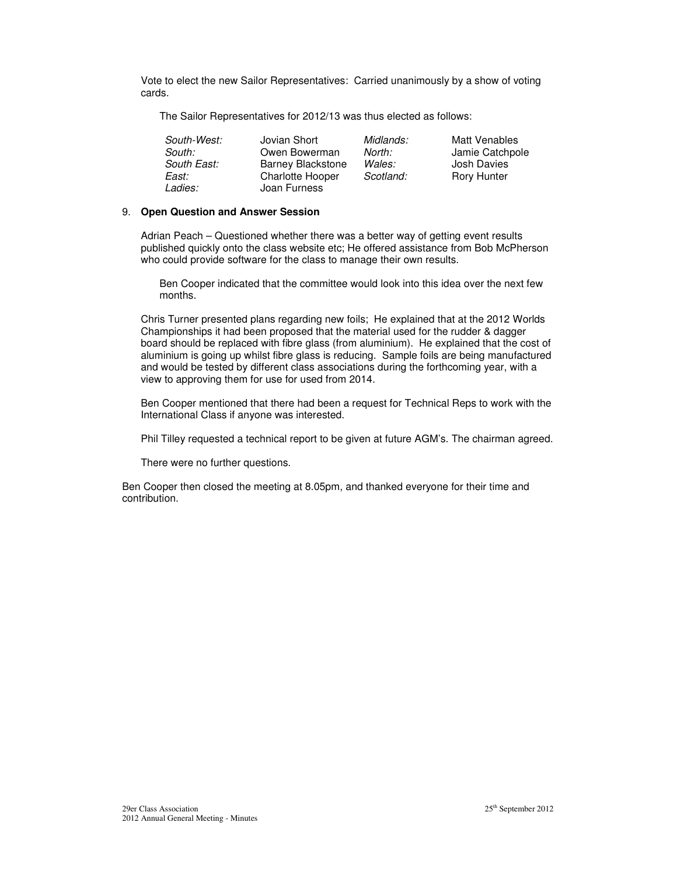Vote to elect the new Sailor Representatives: Carried unanimously by a show of voting cards.

The Sailor Representatives for 2012/13 was thus elected as follows:

| South-West:<br>South: | Jovian Short<br>Owen Bowerman | Midlands:<br>North: | Matt Venables<br>Jamie Catchpole |
|-----------------------|-------------------------------|---------------------|----------------------------------|
| South East:           | <b>Barney Blackstone</b>      | Wales:              | Josh Davies                      |
| East:                 | <b>Charlotte Hooper</b>       | Scotland:           | <b>Rory Hunter</b>               |
| <i>Ladies:</i>        | Joan Furness                  |                     |                                  |

# 9. **Open Question and Answer Session**

Adrian Peach – Questioned whether there was a better way of getting event results published quickly onto the class website etc; He offered assistance from Bob McPherson who could provide software for the class to manage their own results.

Ben Cooper indicated that the committee would look into this idea over the next few months.

Chris Turner presented plans regarding new foils; He explained that at the 2012 Worlds Championships it had been proposed that the material used for the rudder & dagger board should be replaced with fibre glass (from aluminium). He explained that the cost of aluminium is going up whilst fibre glass is reducing. Sample foils are being manufactured and would be tested by different class associations during the forthcoming year, with a view to approving them for use for used from 2014.

Ben Cooper mentioned that there had been a request for Technical Reps to work with the International Class if anyone was interested.

Phil Tilley requested a technical report to be given at future AGM's. The chairman agreed.

There were no further questions.

Ben Cooper then closed the meeting at 8.05pm, and thanked everyone for their time and contribution.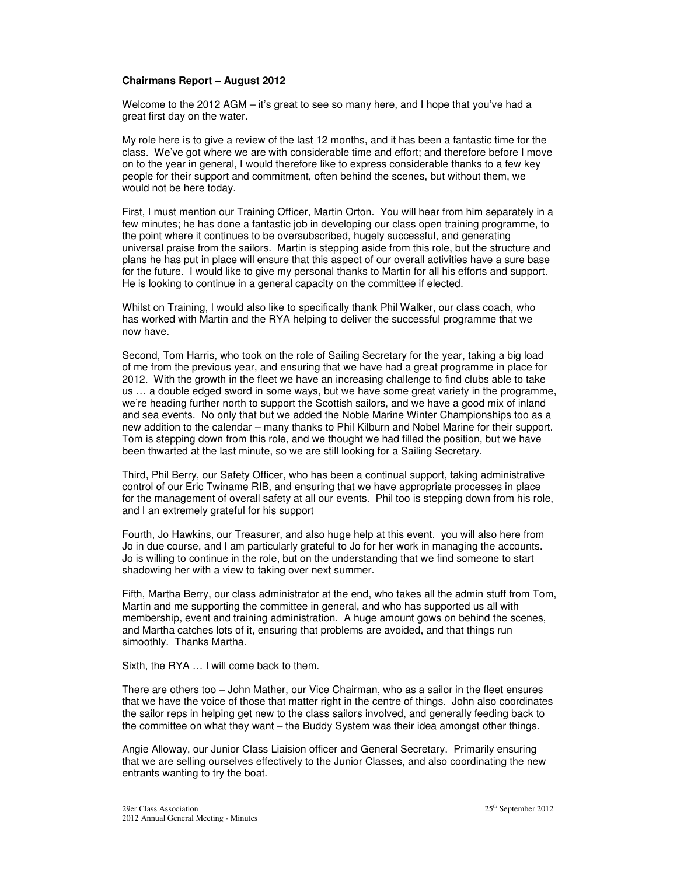#### **Chairmans Report – August 2012**

Welcome to the 2012 AGM – it's great to see so many here, and I hope that you've had a great first day on the water.

My role here is to give a review of the last 12 months, and it has been a fantastic time for the class. We've got where we are with considerable time and effort; and therefore before I move on to the year in general, I would therefore like to express considerable thanks to a few key people for their support and commitment, often behind the scenes, but without them, we would not be here today.

First, I must mention our Training Officer, Martin Orton. You will hear from him separately in a few minutes; he has done a fantastic job in developing our class open training programme, to the point where it continues to be oversubscribed, hugely successful, and generating universal praise from the sailors. Martin is stepping aside from this role, but the structure and plans he has put in place will ensure that this aspect of our overall activities have a sure base for the future. I would like to give my personal thanks to Martin for all his efforts and support. He is looking to continue in a general capacity on the committee if elected.

Whilst on Training, I would also like to specifically thank Phil Walker, our class coach, who has worked with Martin and the RYA helping to deliver the successful programme that we now have.

Second, Tom Harris, who took on the role of Sailing Secretary for the year, taking a big load of me from the previous year, and ensuring that we have had a great programme in place for 2012. With the growth in the fleet we have an increasing challenge to find clubs able to take us … a double edged sword in some ways, but we have some great variety in the programme, we're heading further north to support the Scottish sailors, and we have a good mix of inland and sea events. No only that but we added the Noble Marine Winter Championships too as a new addition to the calendar – many thanks to Phil Kilburn and Nobel Marine for their support. Tom is stepping down from this role, and we thought we had filled the position, but we have been thwarted at the last minute, so we are still looking for a Sailing Secretary.

Third, Phil Berry, our Safety Officer, who has been a continual support, taking administrative control of our Eric Twiname RIB, and ensuring that we have appropriate processes in place for the management of overall safety at all our events. Phil too is stepping down from his role, and I an extremely grateful for his support

Fourth, Jo Hawkins, our Treasurer, and also huge help at this event. you will also here from Jo in due course, and I am particularly grateful to Jo for her work in managing the accounts. Jo is willing to continue in the role, but on the understanding that we find someone to start shadowing her with a view to taking over next summer.

Fifth, Martha Berry, our class administrator at the end, who takes all the admin stuff from Tom, Martin and me supporting the committee in general, and who has supported us all with membership, event and training administration. A huge amount gows on behind the scenes, and Martha catches lots of it, ensuring that problems are avoided, and that things run simoothly. Thanks Martha.

Sixth, the RYA … I will come back to them.

There are others too – John Mather, our Vice Chairman, who as a sailor in the fleet ensures that we have the voice of those that matter right in the centre of things. John also coordinates the sailor reps in helping get new to the class sailors involved, and generally feeding back to the committee on what they want – the Buddy System was their idea amongst other things.

Angie Alloway, our Junior Class Liaision officer and General Secretary. Primarily ensuring that we are selling ourselves effectively to the Junior Classes, and also coordinating the new entrants wanting to try the boat.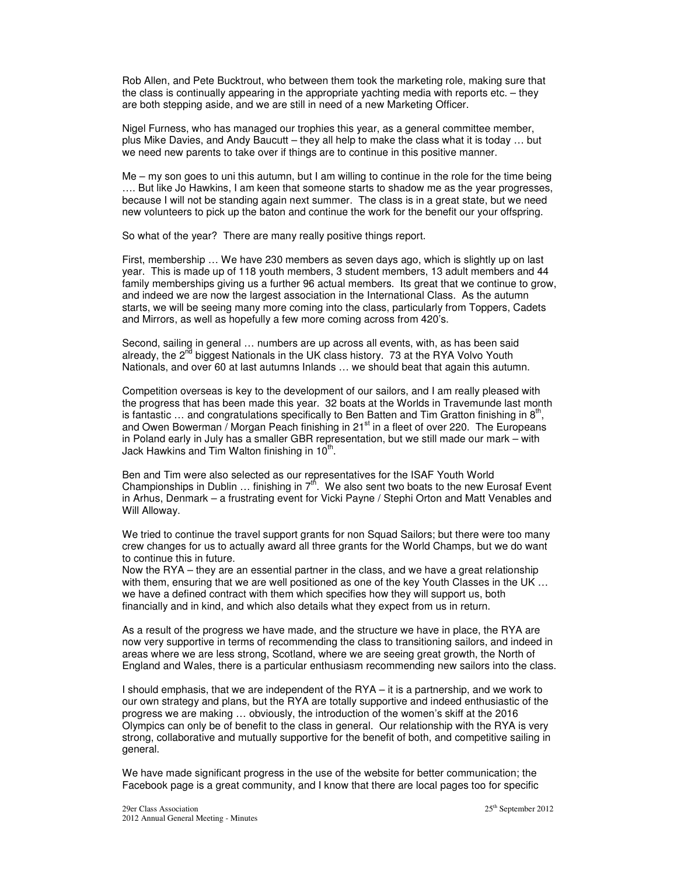Rob Allen, and Pete Bucktrout, who between them took the marketing role, making sure that the class is continually appearing in the appropriate yachting media with reports etc. – they are both stepping aside, and we are still in need of a new Marketing Officer.

Nigel Furness, who has managed our trophies this year, as a general committee member, plus Mike Davies, and Andy Baucutt – they all help to make the class what it is today … but we need new parents to take over if things are to continue in this positive manner.

Me – my son goes to uni this autumn, but I am willing to continue in the role for the time being …. But like Jo Hawkins, I am keen that someone starts to shadow me as the year progresses, because I will not be standing again next summer. The class is in a great state, but we need new volunteers to pick up the baton and continue the work for the benefit our your offspring.

So what of the year? There are many really positive things report.

First, membership … We have 230 members as seven days ago, which is slightly up on last year. This is made up of 118 youth members, 3 student members, 13 adult members and 44 family memberships giving us a further 96 actual members. Its great that we continue to grow, and indeed we are now the largest association in the International Class. As the autumn starts, we will be seeing many more coming into the class, particularly from Toppers, Cadets and Mirrors, as well as hopefully a few more coming across from 420's.

Second, sailing in general … numbers are up across all events, with, as has been said already, the  $2^{nd}$  biggest Nationals in the UK class history. 73 at the RYA Volvo Youth Nationals, and over 60 at last autumns Inlands … we should beat that again this autumn.

Competition overseas is key to the development of our sailors, and I am really pleased with the progress that has been made this year. 32 boats at the Worlds in Travemunde last month is fantastic  $\ldots$  and congratulations specifically to Ben Batten and Tim Gratton finishing in  $8<sup>th</sup>$ , and Owen Bowerman / Morgan Peach finishing in 21 $st$  in a fleet of over 220. The Europeans in Poland early in July has a smaller GBR representation, but we still made our mark – with Jack Hawkins and Tim Walton finishing in  $10<sup>th</sup>$ .

Ben and Tim were also selected as our representatives for the ISAF Youth World Championships in Dublin ... finishing in  $7<sup>th</sup>$ . We also sent two boats to the new Eurosaf Event in Arhus, Denmark – a frustrating event for Vicki Payne / Stephi Orton and Matt Venables and Will Alloway.

We tried to continue the travel support grants for non Squad Sailors; but there were too many crew changes for us to actually award all three grants for the World Champs, but we do want to continue this in future.

Now the RYA – they are an essential partner in the class, and we have a great relationship with them, ensuring that we are well positioned as one of the key Youth Classes in the UK ... we have a defined contract with them which specifies how they will support us, both financially and in kind, and which also details what they expect from us in return.

As a result of the progress we have made, and the structure we have in place, the RYA are now very supportive in terms of recommending the class to transitioning sailors, and indeed in areas where we are less strong, Scotland, where we are seeing great growth, the North of England and Wales, there is a particular enthusiasm recommending new sailors into the class.

I should emphasis, that we are independent of the RYA – it is a partnership, and we work to our own strategy and plans, but the RYA are totally supportive and indeed enthusiastic of the progress we are making … obviously, the introduction of the women's skiff at the 2016 Olympics can only be of benefit to the class in general. Our relationship with the RYA is very strong, collaborative and mutually supportive for the benefit of both, and competitive sailing in general.

We have made significant progress in the use of the website for better communication; the Facebook page is a great community, and I know that there are local pages too for specific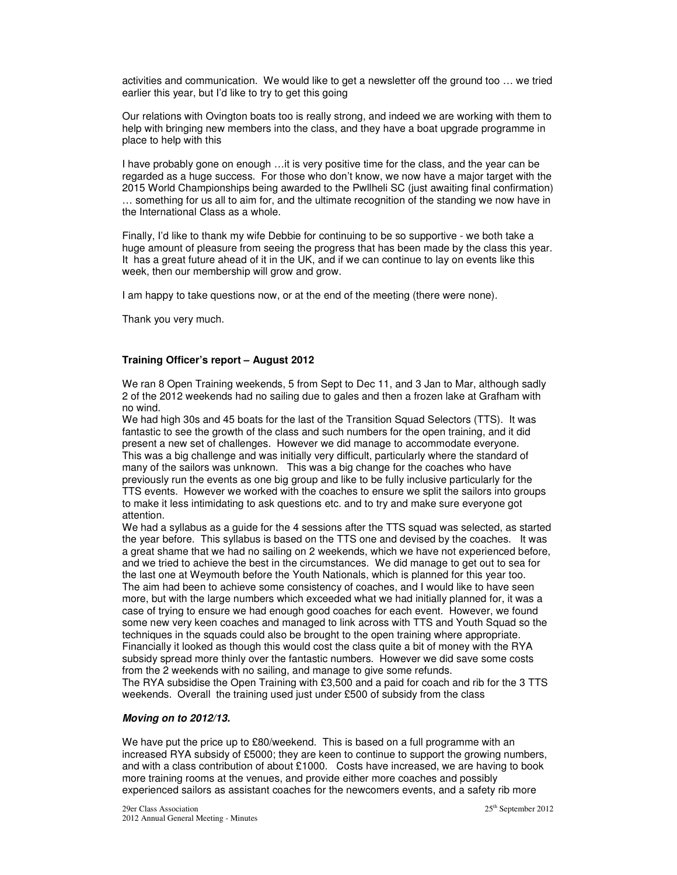activities and communication. We would like to get a newsletter off the ground too … we tried earlier this year, but I'd like to try to get this going

Our relations with Ovington boats too is really strong, and indeed we are working with them to help with bringing new members into the class, and they have a boat upgrade programme in place to help with this

I have probably gone on enough …it is very positive time for the class, and the year can be regarded as a huge success. For those who don't know, we now have a major target with the 2015 World Championships being awarded to the Pwllheli SC (just awaiting final confirmation) … something for us all to aim for, and the ultimate recognition of the standing we now have in the International Class as a whole.

Finally, I'd like to thank my wife Debbie for continuing to be so supportive - we both take a huge amount of pleasure from seeing the progress that has been made by the class this year. It has a great future ahead of it in the UK, and if we can continue to lay on events like this week, then our membership will grow and grow.

I am happy to take questions now, or at the end of the meeting (there were none).

Thank you very much.

# **Training Officer's report – August 2012**

We ran 8 Open Training weekends, 5 from Sept to Dec 11, and 3 Jan to Mar, although sadly 2 of the 2012 weekends had no sailing due to gales and then a frozen lake at Grafham with no wind.

We had high 30s and 45 boats for the last of the Transition Squad Selectors (TTS). It was fantastic to see the growth of the class and such numbers for the open training, and it did present a new set of challenges. However we did manage to accommodate everyone. This was a big challenge and was initially very difficult, particularly where the standard of many of the sailors was unknown. This was a big change for the coaches who have previously run the events as one big group and like to be fully inclusive particularly for the TTS events. However we worked with the coaches to ensure we split the sailors into groups to make it less intimidating to ask questions etc. and to try and make sure everyone got attention.

We had a syllabus as a guide for the 4 sessions after the TTS squad was selected, as started the year before. This syllabus is based on the TTS one and devised by the coaches. It was a great shame that we had no sailing on 2 weekends, which we have not experienced before, and we tried to achieve the best in the circumstances. We did manage to get out to sea for the last one at Weymouth before the Youth Nationals, which is planned for this year too. The aim had been to achieve some consistency of coaches, and I would like to have seen more, but with the large numbers which exceeded what we had initially planned for, it was a case of trying to ensure we had enough good coaches for each event. However, we found some new very keen coaches and managed to link across with TTS and Youth Squad so the techniques in the squads could also be brought to the open training where appropriate. Financially it looked as though this would cost the class quite a bit of money with the RYA subsidy spread more thinly over the fantastic numbers. However we did save some costs from the 2 weekends with no sailing, and manage to give some refunds. The RYA subsidise the Open Training with £3,500 and a paid for coach and rib for the 3 TTS weekends. Overall the training used just under £500 of subsidy from the class

# *Moving on to 2012/13.*

We have put the price up to £80/weekend. This is based on a full programme with an increased RYA subsidy of £5000; they are keen to continue to support the growing numbers, and with a class contribution of about £1000. Costs have increased, we are having to book more training rooms at the venues, and provide either more coaches and possibly experienced sailors as assistant coaches for the newcomers events, and a safety rib more